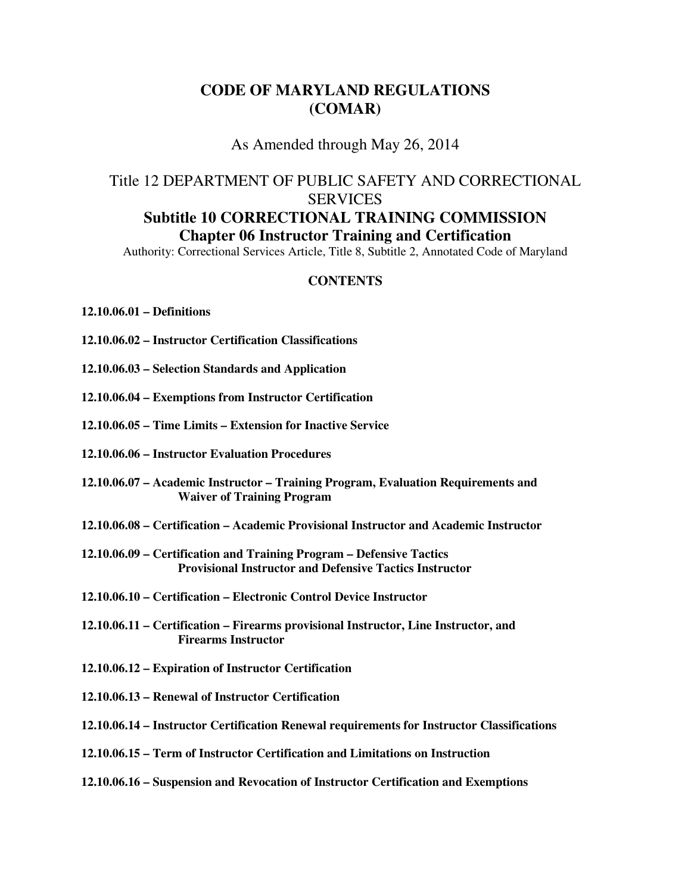# **CODE OF MARYLAND REGULATIONS (COMAR)**

#### As Amended through May 26, 2014

# Title 12 DEPARTMENT OF PUBLIC SAFETY AND CORRECTIONAL **SERVICES Subtitle 10 CORRECTIONAL TRAINING COMMISSION Chapter 06 Instructor Training and Certification**

Authority: Correctional Services Article, Title 8, Subtitle 2, Annotated Code of Maryland

#### **CONTENTS**

#### **12.10.06.01 – Definitions**

- **12.10.06.02 Instructor Certification Classifications**
- **12.10.06.03 Selection Standards and Application**
- **12.10.06.04 Exemptions from Instructor Certification**
- **12.10.06.05 Time Limits Extension for Inactive Service**
- **12.10.06.06 Instructor Evaluation Procedures**
- **12.10.06.07 Academic Instructor Training Program, Evaluation Requirements and Waiver of Training Program**
- **12.10.06.08 Certification Academic Provisional Instructor and Academic Instructor**
- **12.10.06.09 Certification and Training Program Defensive Tactics Provisional Instructor and Defensive Tactics Instructor**
- **12.10.06.10 Certification Electronic Control Device Instructor**
- **12.10.06.11 Certification Firearms provisional Instructor, Line Instructor, and Firearms Instructor**
- **12.10.06.12 Expiration of Instructor Certification**
- **12.10.06.13 Renewal of Instructor Certification**
- **12.10.06.14 Instructor Certification Renewal requirements for Instructor Classifications**
- **12.10.06.15 Term of Instructor Certification and Limitations on Instruction**
- **12.10.06.16 Suspension and Revocation of Instructor Certification and Exemptions**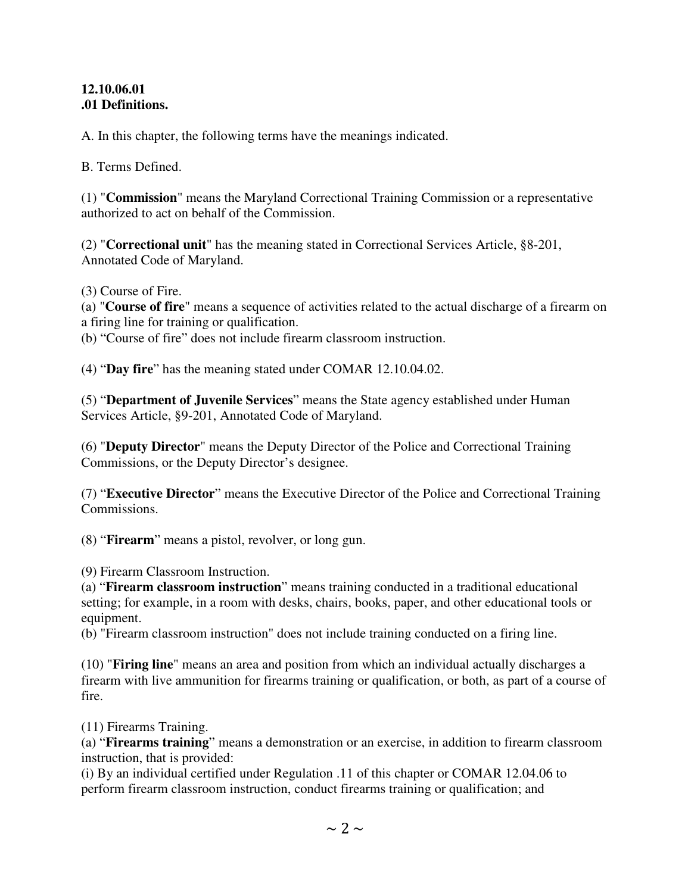#### **12.10.06.01 .01 Definitions.**

A. In this chapter, the following terms have the meanings indicated.

B. Terms Defined.

(1) "**Commission**" means the Maryland Correctional Training Commission or a representative authorized to act on behalf of the Commission.

(2) "**Correctional unit**" has the meaning stated in Correctional Services Article, §8-201, Annotated Code of Maryland.

(3) Course of Fire.

(a) "**Course of fire**" means a sequence of activities related to the actual discharge of a firearm on a firing line for training or qualification.

(b) "Course of fire" does not include firearm classroom instruction.

(4) "**Day fire**" has the meaning stated under COMAR 12.10.04.02.

(5) "**Department of Juvenile Services**" means the State agency established under Human Services Article, §9-201, Annotated Code of Maryland.

(6) "**Deputy Director**" means the Deputy Director of the Police and Correctional Training Commissions, or the Deputy Director's designee.

(7) "**Executive Director**" means the Executive Director of the Police and Correctional Training Commissions.

(8) "**Firearm**" means a pistol, revolver, or long gun.

(9) Firearm Classroom Instruction.

(a) "**Firearm classroom instruction**" means training conducted in a traditional educational setting; for example, in a room with desks, chairs, books, paper, and other educational tools or equipment.

(b) "Firearm classroom instruction" does not include training conducted on a firing line.

(10) "**Firing line**" means an area and position from which an individual actually discharges a firearm with live ammunition for firearms training or qualification, or both, as part of a course of fire.

(11) Firearms Training.

(a) "**Firearms training**" means a demonstration or an exercise, in addition to firearm classroom instruction, that is provided:

(i) By an individual certified under Regulation .11 of this chapter or COMAR 12.04.06 to perform firearm classroom instruction, conduct firearms training or qualification; and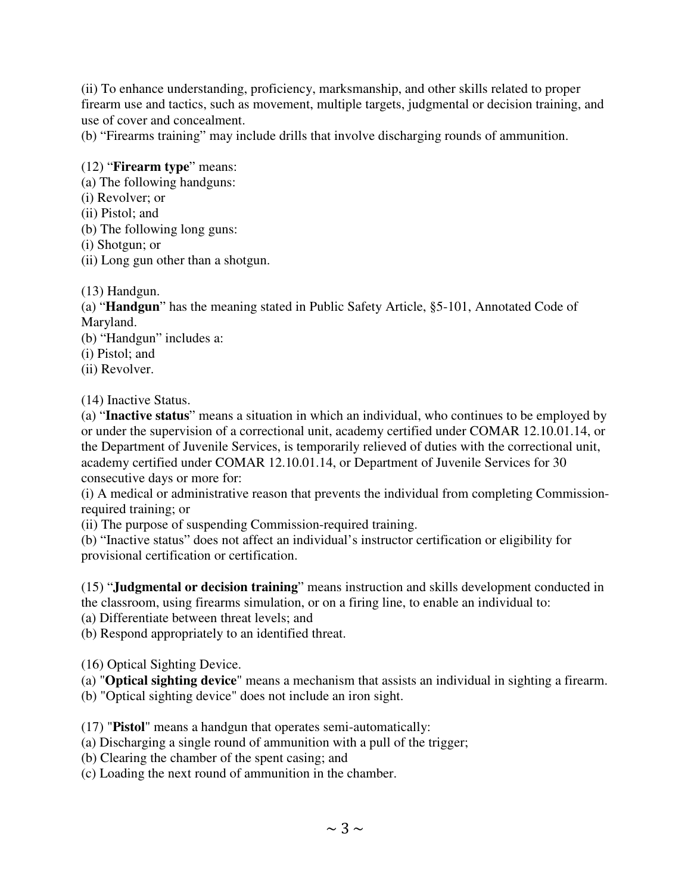(ii) To enhance understanding, proficiency, marksmanship, and other skills related to proper firearm use and tactics, such as movement, multiple targets, judgmental or decision training, and use of cover and concealment.

(b) "Firearms training" may include drills that involve discharging rounds of ammunition.

# (12) "**Firearm type**" means:

- (a) The following handguns:
- (i) Revolver; or
- (ii) Pistol; and
- (b) The following long guns:
- (i) Shotgun; or
- (ii) Long gun other than a shotgun.

(13) Handgun.

(a) "**Handgun**" has the meaning stated in Public Safety Article, §5-101, Annotated Code of Maryland.

(b) "Handgun" includes a:

- (i) Pistol; and
- (ii) Revolver.

(14) Inactive Status.

(a) "**Inactive status**" means a situation in which an individual, who continues to be employed by or under the supervision of a correctional unit, academy certified under COMAR 12.10.01.14, or the Department of Juvenile Services, is temporarily relieved of duties with the correctional unit, academy certified under COMAR 12.10.01.14, or Department of Juvenile Services for 30 consecutive days or more for:

(i) A medical or administrative reason that prevents the individual from completing Commissionrequired training; or

(ii) The purpose of suspending Commission-required training.

(b) "Inactive status" does not affect an individual's instructor certification or eligibility for provisional certification or certification.

(15) "**Judgmental or decision training**" means instruction and skills development conducted in the classroom, using firearms simulation, or on a firing line, to enable an individual to:

(a) Differentiate between threat levels; and

(b) Respond appropriately to an identified threat.

(16) Optical Sighting Device.

(a) "**Optical sighting device**" means a mechanism that assists an individual in sighting a firearm.

(b) "Optical sighting device" does not include an iron sight.

(17) "**Pistol**" means a handgun that operates semi-automatically:

(a) Discharging a single round of ammunition with a pull of the trigger;

(b) Clearing the chamber of the spent casing; and

(c) Loading the next round of ammunition in the chamber.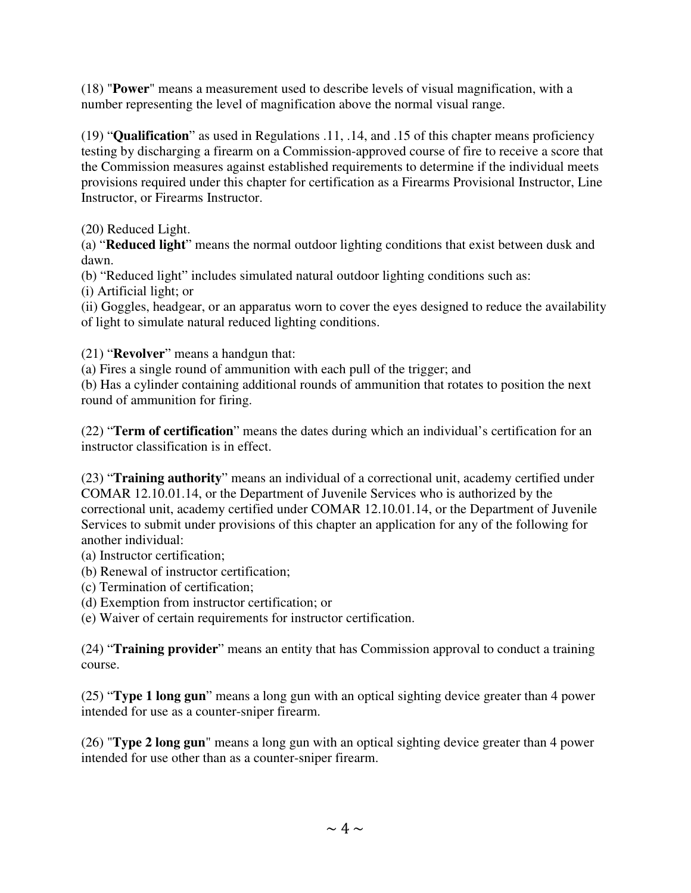(18) "**Power**" means a measurement used to describe levels of visual magnification, with a number representing the level of magnification above the normal visual range.

(19) "**Qualification**" as used in Regulations .11, .14, and .15 of this chapter means proficiency testing by discharging a firearm on a Commission-approved course of fire to receive a score that the Commission measures against established requirements to determine if the individual meets provisions required under this chapter for certification as a Firearms Provisional Instructor, Line Instructor, or Firearms Instructor.

(20) Reduced Light.

(a) "**Reduced light**" means the normal outdoor lighting conditions that exist between dusk and dawn.

(b) "Reduced light" includes simulated natural outdoor lighting conditions such as:

(i) Artificial light; or

(ii) Goggles, headgear, or an apparatus worn to cover the eyes designed to reduce the availability of light to simulate natural reduced lighting conditions.

(21) "**Revolver**" means a handgun that:

(a) Fires a single round of ammunition with each pull of the trigger; and

(b) Has a cylinder containing additional rounds of ammunition that rotates to position the next round of ammunition for firing.

(22) "**Term of certification**" means the dates during which an individual's certification for an instructor classification is in effect.

(23) "**Training authority**" means an individual of a correctional unit, academy certified under COMAR 12.10.01.14, or the Department of Juvenile Services who is authorized by the correctional unit, academy certified under COMAR 12.10.01.14, or the Department of Juvenile Services to submit under provisions of this chapter an application for any of the following for another individual:

(a) Instructor certification;

- (b) Renewal of instructor certification;
- (c) Termination of certification;
- (d) Exemption from instructor certification; or

(e) Waiver of certain requirements for instructor certification.

(24) "**Training provider**" means an entity that has Commission approval to conduct a training course.

(25) "**Type 1 long gun**" means a long gun with an optical sighting device greater than 4 power intended for use as a counter-sniper firearm.

(26) "**Type 2 long gun**" means a long gun with an optical sighting device greater than 4 power intended for use other than as a counter-sniper firearm.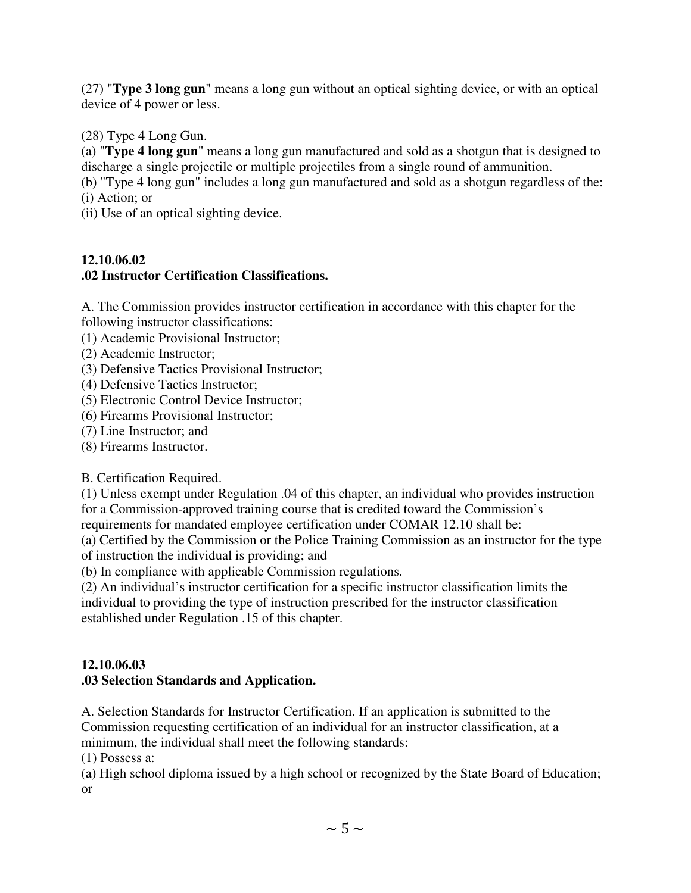(27) "**Type 3 long gun**" means a long gun without an optical sighting device, or with an optical device of 4 power or less.

(28) Type 4 Long Gun.

(a) "**Type 4 long gun**" means a long gun manufactured and sold as a shotgun that is designed to discharge a single projectile or multiple projectiles from a single round of ammunition.

(b) "Type 4 long gun" includes a long gun manufactured and sold as a shotgun regardless of the: (i) Action; or

(ii) Use of an optical sighting device.

# **12.10.06.02**

# **.02 Instructor Certification Classifications.**

A. The Commission provides instructor certification in accordance with this chapter for the following instructor classifications:

- (1) Academic Provisional Instructor;
- (2) Academic Instructor;
- (3) Defensive Tactics Provisional Instructor;
- (4) Defensive Tactics Instructor;
- (5) Electronic Control Device Instructor;
- (6) Firearms Provisional Instructor;
- (7) Line Instructor; and
- (8) Firearms Instructor.

B. Certification Required.

(1) Unless exempt under Regulation .04 of this chapter, an individual who provides instruction for a Commission-approved training course that is credited toward the Commission's requirements for mandated employee certification under COMAR 12.10 shall be:

(a) Certified by the Commission or the Police Training Commission as an instructor for the type of instruction the individual is providing; and

(b) In compliance with applicable Commission regulations.

(2) An individual's instructor certification for a specific instructor classification limits the individual to providing the type of instruction prescribed for the instructor classification established under Regulation .15 of this chapter.

## **12.10.06.03 .03 Selection Standards and Application.**

A. Selection Standards for Instructor Certification. If an application is submitted to the Commission requesting certification of an individual for an instructor classification, at a minimum, the individual shall meet the following standards:

(1) Possess a:

(a) High school diploma issued by a high school or recognized by the State Board of Education; or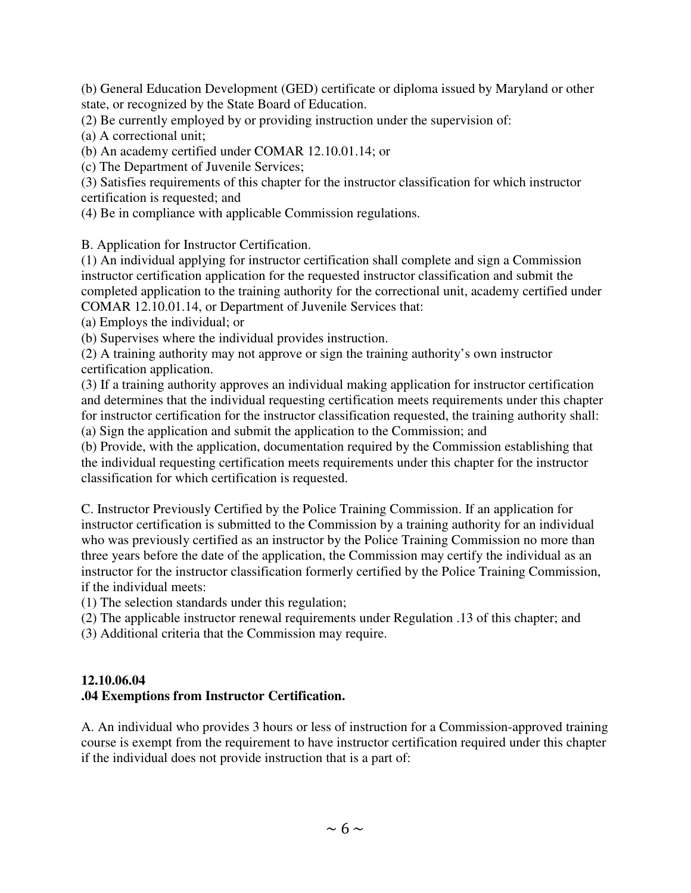(b) General Education Development (GED) certificate or diploma issued by Maryland or other state, or recognized by the State Board of Education.

(2) Be currently employed by or providing instruction under the supervision of:

(a) A correctional unit;

(b) An academy certified under COMAR 12.10.01.14; or

(c) The Department of Juvenile Services;

(3) Satisfies requirements of this chapter for the instructor classification for which instructor certification is requested; and

(4) Be in compliance with applicable Commission regulations.

B. Application for Instructor Certification.

(1) An individual applying for instructor certification shall complete and sign a Commission instructor certification application for the requested instructor classification and submit the completed application to the training authority for the correctional unit, academy certified under COMAR 12.10.01.14, or Department of Juvenile Services that:

(a) Employs the individual; or

(b) Supervises where the individual provides instruction.

(2) A training authority may not approve or sign the training authority's own instructor certification application.

(3) If a training authority approves an individual making application for instructor certification and determines that the individual requesting certification meets requirements under this chapter for instructor certification for the instructor classification requested, the training authority shall: (a) Sign the application and submit the application to the Commission; and

(b) Provide, with the application, documentation required by the Commission establishing that the individual requesting certification meets requirements under this chapter for the instructor classification for which certification is requested.

C. Instructor Previously Certified by the Police Training Commission. If an application for instructor certification is submitted to the Commission by a training authority for an individual who was previously certified as an instructor by the Police Training Commission no more than three years before the date of the application, the Commission may certify the individual as an instructor for the instructor classification formerly certified by the Police Training Commission, if the individual meets:

(1) The selection standards under this regulation;

(2) The applicable instructor renewal requirements under Regulation .13 of this chapter; and

(3) Additional criteria that the Commission may require.

#### **12.10.06.04 .04 Exemptions from Instructor Certification.**

A. An individual who provides 3 hours or less of instruction for a Commission-approved training course is exempt from the requirement to have instructor certification required under this chapter if the individual does not provide instruction that is a part of: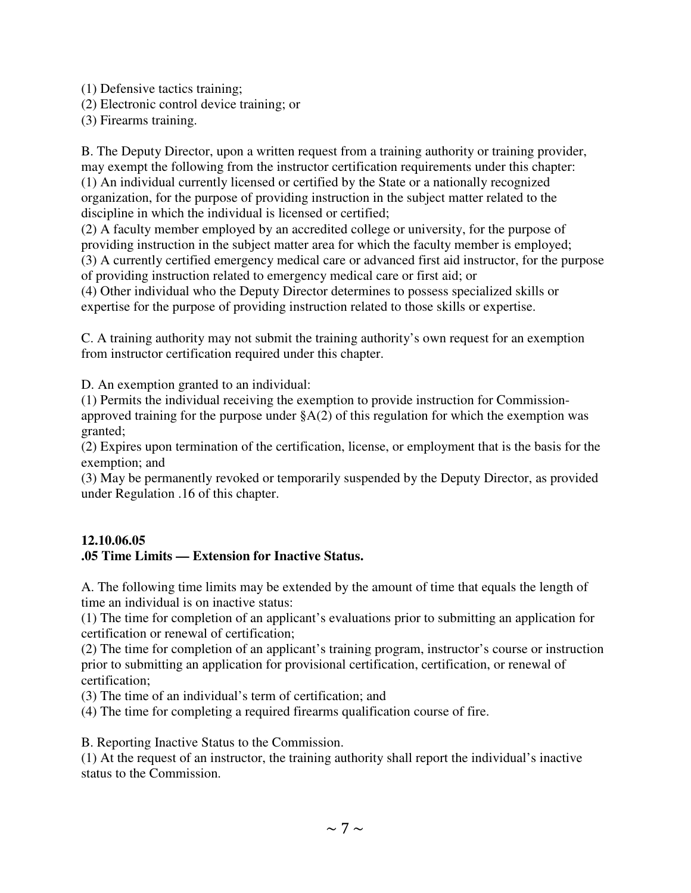(1) Defensive tactics training;

(2) Electronic control device training; or

(3) Firearms training.

B. The Deputy Director, upon a written request from a training authority or training provider, may exempt the following from the instructor certification requirements under this chapter: (1) An individual currently licensed or certified by the State or a nationally recognized organization, for the purpose of providing instruction in the subject matter related to the discipline in which the individual is licensed or certified;

(2) A faculty member employed by an accredited college or university, for the purpose of providing instruction in the subject matter area for which the faculty member is employed; (3) A currently certified emergency medical care or advanced first aid instructor, for the purpose of providing instruction related to emergency medical care or first aid; or

(4) Other individual who the Deputy Director determines to possess specialized skills or expertise for the purpose of providing instruction related to those skills or expertise.

C. A training authority may not submit the training authority's own request for an exemption from instructor certification required under this chapter.

D. An exemption granted to an individual:

(1) Permits the individual receiving the exemption to provide instruction for Commissionapproved training for the purpose under  $A(2)$  of this regulation for which the exemption was granted;

(2) Expires upon termination of the certification, license, or employment that is the basis for the exemption; and

(3) May be permanently revoked or temporarily suspended by the Deputy Director, as provided under Regulation .16 of this chapter.

# **12.10.06.05**

# **.05 Time Limits — Extension for Inactive Status.**

A. The following time limits may be extended by the amount of time that equals the length of time an individual is on inactive status:

(1) The time for completion of an applicant's evaluations prior to submitting an application for certification or renewal of certification;

(2) The time for completion of an applicant's training program, instructor's course or instruction prior to submitting an application for provisional certification, certification, or renewal of certification;

(3) The time of an individual's term of certification; and

(4) The time for completing a required firearms qualification course of fire.

B. Reporting Inactive Status to the Commission.

(1) At the request of an instructor, the training authority shall report the individual's inactive status to the Commission.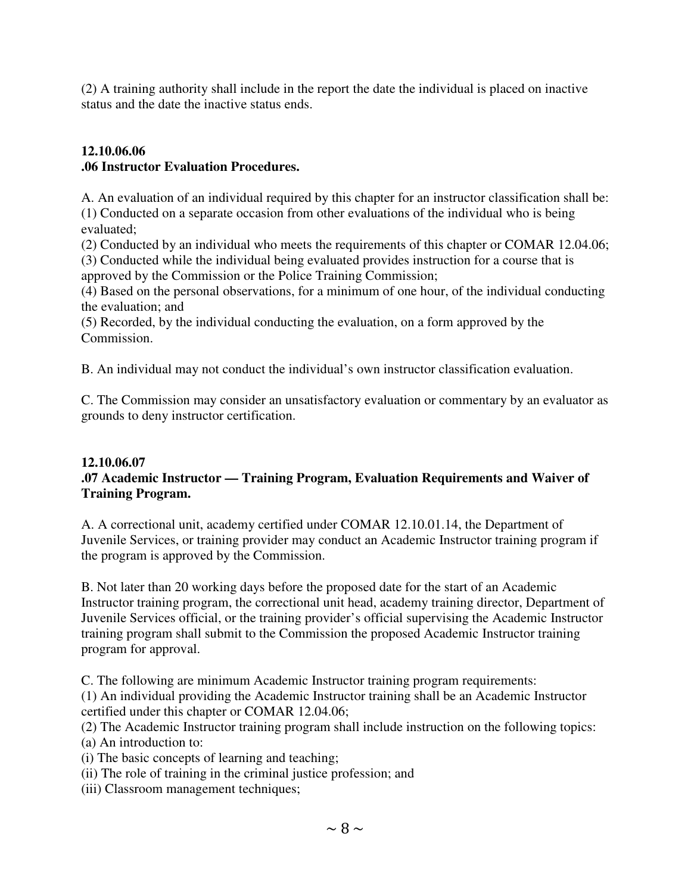(2) A training authority shall include in the report the date the individual is placed on inactive status and the date the inactive status ends.

# **12.10.06.06 .06 Instructor Evaluation Procedures.**

A. An evaluation of an individual required by this chapter for an instructor classification shall be: (1) Conducted on a separate occasion from other evaluations of the individual who is being evaluated;

(2) Conducted by an individual who meets the requirements of this chapter or COMAR 12.04.06; (3) Conducted while the individual being evaluated provides instruction for a course that is approved by the Commission or the Police Training Commission;

(4) Based on the personal observations, for a minimum of one hour, of the individual conducting the evaluation; and

(5) Recorded, by the individual conducting the evaluation, on a form approved by the Commission.

B. An individual may not conduct the individual's own instructor classification evaluation.

C. The Commission may consider an unsatisfactory evaluation or commentary by an evaluator as grounds to deny instructor certification.

#### **12.10.06.07 .07 Academic Instructor — Training Program, Evaluation Requirements and Waiver of Training Program.**

A. A correctional unit, academy certified under COMAR 12.10.01.14, the Department of Juvenile Services, or training provider may conduct an Academic Instructor training program if the program is approved by the Commission.

B. Not later than 20 working days before the proposed date for the start of an Academic Instructor training program, the correctional unit head, academy training director, Department of Juvenile Services official, or the training provider's official supervising the Academic Instructor training program shall submit to the Commission the proposed Academic Instructor training program for approval.

C. The following are minimum Academic Instructor training program requirements:

(1) An individual providing the Academic Instructor training shall be an Academic Instructor certified under this chapter or COMAR 12.04.06;

(2) The Academic Instructor training program shall include instruction on the following topics:

(a) An introduction to:

- (i) The basic concepts of learning and teaching;
- (ii) The role of training in the criminal justice profession; and
- (iii) Classroom management techniques;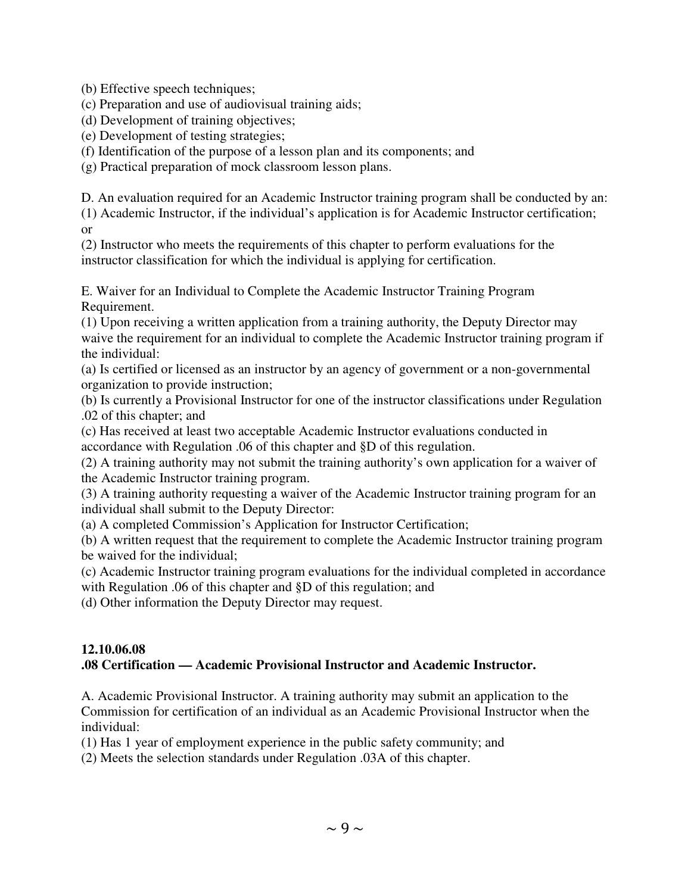(b) Effective speech techniques;

(c) Preparation and use of audiovisual training aids;

(d) Development of training objectives;

(e) Development of testing strategies;

(f) Identification of the purpose of a lesson plan and its components; and

(g) Practical preparation of mock classroom lesson plans.

D. An evaluation required for an Academic Instructor training program shall be conducted by an:

(1) Academic Instructor, if the individual's application is for Academic Instructor certification; or

(2) Instructor who meets the requirements of this chapter to perform evaluations for the instructor classification for which the individual is applying for certification.

E. Waiver for an Individual to Complete the Academic Instructor Training Program Requirement.

(1) Upon receiving a written application from a training authority, the Deputy Director may waive the requirement for an individual to complete the Academic Instructor training program if the individual:

(a) Is certified or licensed as an instructor by an agency of government or a non-governmental organization to provide instruction;

(b) Is currently a Provisional Instructor for one of the instructor classifications under Regulation .02 of this chapter; and

(c) Has received at least two acceptable Academic Instructor evaluations conducted in accordance with Regulation .06 of this chapter and §D of this regulation.

(2) A training authority may not submit the training authority's own application for a waiver of the Academic Instructor training program.

(3) A training authority requesting a waiver of the Academic Instructor training program for an individual shall submit to the Deputy Director:

(a) A completed Commission's Application for Instructor Certification;

(b) A written request that the requirement to complete the Academic Instructor training program be waived for the individual;

(c) Academic Instructor training program evaluations for the individual completed in accordance with Regulation .06 of this chapter and §D of this regulation; and

(d) Other information the Deputy Director may request.

# **12.10.06.08**

# **.08 Certification — Academic Provisional Instructor and Academic Instructor.**

A. Academic Provisional Instructor. A training authority may submit an application to the Commission for certification of an individual as an Academic Provisional Instructor when the individual:

(1) Has 1 year of employment experience in the public safety community; and

(2) Meets the selection standards under Regulation .03A of this chapter.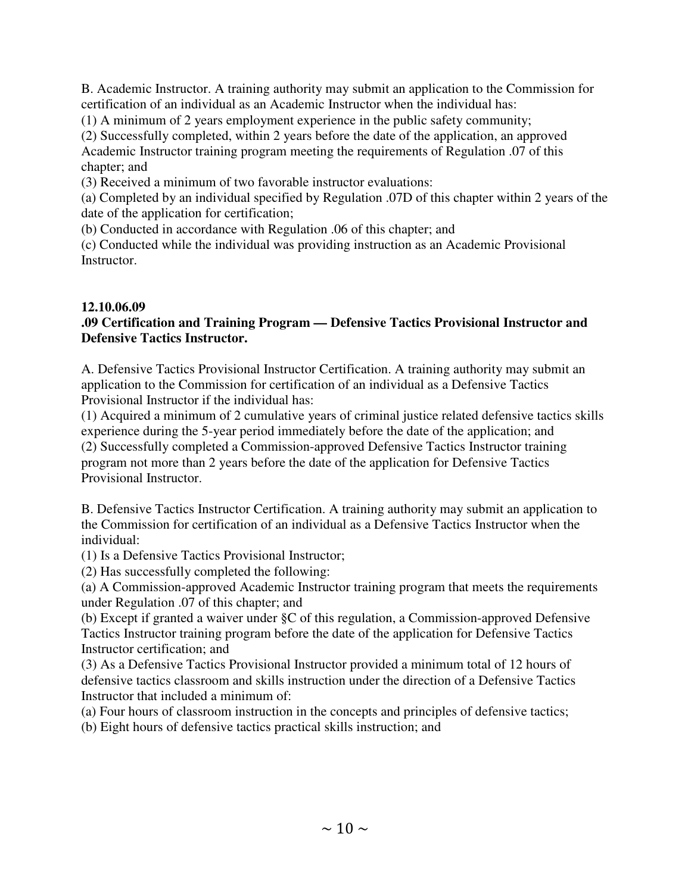B. Academic Instructor. A training authority may submit an application to the Commission for certification of an individual as an Academic Instructor when the individual has:

(1) A minimum of 2 years employment experience in the public safety community;

(2) Successfully completed, within 2 years before the date of the application, an approved Academic Instructor training program meeting the requirements of Regulation .07 of this chapter; and

(3) Received a minimum of two favorable instructor evaluations:

(a) Completed by an individual specified by Regulation .07D of this chapter within 2 years of the date of the application for certification;

(b) Conducted in accordance with Regulation .06 of this chapter; and

(c) Conducted while the individual was providing instruction as an Academic Provisional Instructor.

## **12.10.06.09**

## **.09 Certification and Training Program — Defensive Tactics Provisional Instructor and Defensive Tactics Instructor.**

A. Defensive Tactics Provisional Instructor Certification. A training authority may submit an application to the Commission for certification of an individual as a Defensive Tactics Provisional Instructor if the individual has:

(1) Acquired a minimum of 2 cumulative years of criminal justice related defensive tactics skills experience during the 5-year period immediately before the date of the application; and (2) Successfully completed a Commission-approved Defensive Tactics Instructor training program not more than 2 years before the date of the application for Defensive Tactics Provisional Instructor.

B. Defensive Tactics Instructor Certification. A training authority may submit an application to the Commission for certification of an individual as a Defensive Tactics Instructor when the individual:

(1) Is a Defensive Tactics Provisional Instructor;

(2) Has successfully completed the following:

(a) A Commission-approved Academic Instructor training program that meets the requirements under Regulation .07 of this chapter; and

(b) Except if granted a waiver under §C of this regulation, a Commission-approved Defensive Tactics Instructor training program before the date of the application for Defensive Tactics Instructor certification; and

(3) As a Defensive Tactics Provisional Instructor provided a minimum total of 12 hours of defensive tactics classroom and skills instruction under the direction of a Defensive Tactics Instructor that included a minimum of:

(a) Four hours of classroom instruction in the concepts and principles of defensive tactics;

(b) Eight hours of defensive tactics practical skills instruction; and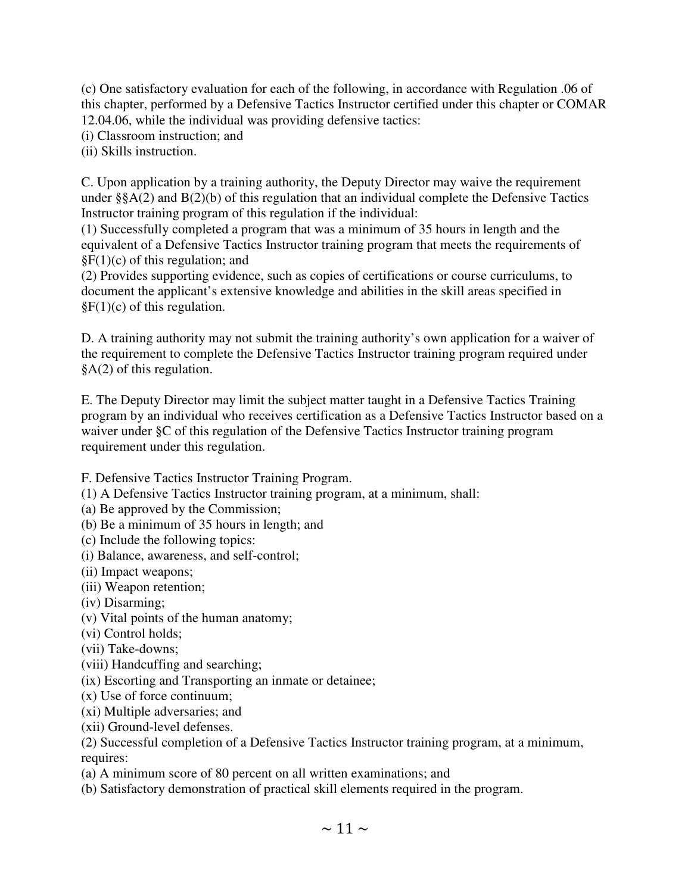(c) One satisfactory evaluation for each of the following, in accordance with Regulation .06 of this chapter, performed by a Defensive Tactics Instructor certified under this chapter or COMAR 12.04.06, while the individual was providing defensive tactics:

(i) Classroom instruction; and

(ii) Skills instruction.

C. Upon application by a training authority, the Deputy Director may waive the requirement under §§A(2) and B(2)(b) of this regulation that an individual complete the Defensive Tactics Instructor training program of this regulation if the individual:

(1) Successfully completed a program that was a minimum of 35 hours in length and the equivalent of a Defensive Tactics Instructor training program that meets the requirements of  $\S F(1)(c)$  of this regulation; and

(2) Provides supporting evidence, such as copies of certifications or course curriculums, to document the applicant's extensive knowledge and abilities in the skill areas specified in  $\S F(1)(c)$  of this regulation.

D. A training authority may not submit the training authority's own application for a waiver of the requirement to complete the Defensive Tactics Instructor training program required under §A(2) of this regulation.

E. The Deputy Director may limit the subject matter taught in a Defensive Tactics Training program by an individual who receives certification as a Defensive Tactics Instructor based on a waiver under §C of this regulation of the Defensive Tactics Instructor training program requirement under this regulation.

F. Defensive Tactics Instructor Training Program.

- (1) A Defensive Tactics Instructor training program, at a minimum, shall:
- (a) Be approved by the Commission;
- (b) Be a minimum of 35 hours in length; and
- (c) Include the following topics:
- (i) Balance, awareness, and self-control;
- (ii) Impact weapons;
- (iii) Weapon retention;
- (iv) Disarming;
- (v) Vital points of the human anatomy;
- (vi) Control holds;
- (vii) Take-downs;
- (viii) Handcuffing and searching;
- (ix) Escorting and Transporting an inmate or detainee;
- (x) Use of force continuum;
- (xi) Multiple adversaries; and
- (xii) Ground-level defenses.
- (2) Successful completion of a Defensive Tactics Instructor training program, at a minimum, requires:
- (a) A minimum score of 80 percent on all written examinations; and
- (b) Satisfactory demonstration of practical skill elements required in the program.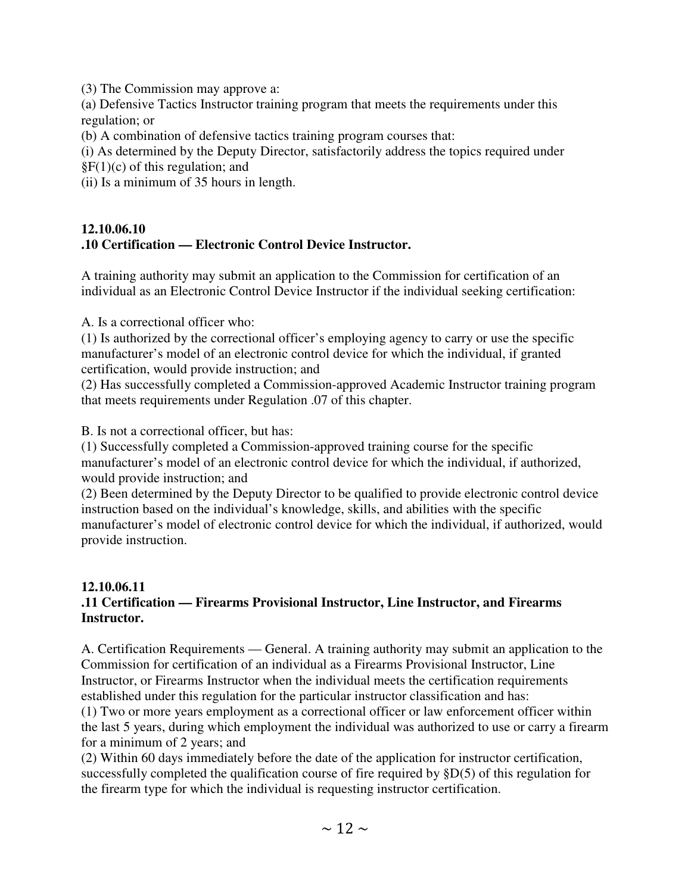(3) The Commission may approve a:

(a) Defensive Tactics Instructor training program that meets the requirements under this regulation; or

(b) A combination of defensive tactics training program courses that:

(i) As determined by the Deputy Director, satisfactorily address the topics required under  $\S F(1)(c)$  of this regulation; and

(ii) Is a minimum of 35 hours in length.

## **12.10.06.10 .10 Certification — Electronic Control Device Instructor.**

A training authority may submit an application to the Commission for certification of an individual as an Electronic Control Device Instructor if the individual seeking certification:

A. Is a correctional officer who:

(1) Is authorized by the correctional officer's employing agency to carry or use the specific manufacturer's model of an electronic control device for which the individual, if granted certification, would provide instruction; and

(2) Has successfully completed a Commission-approved Academic Instructor training program that meets requirements under Regulation .07 of this chapter.

B. Is not a correctional officer, but has:

(1) Successfully completed a Commission-approved training course for the specific manufacturer's model of an electronic control device for which the individual, if authorized, would provide instruction; and

(2) Been determined by the Deputy Director to be qualified to provide electronic control device instruction based on the individual's knowledge, skills, and abilities with the specific manufacturer's model of electronic control device for which the individual, if authorized, would provide instruction.

## **12.10.06.11 .11 Certification — Firearms Provisional Instructor, Line Instructor, and Firearms Instructor.**

A. Certification Requirements — General. A training authority may submit an application to the Commission for certification of an individual as a Firearms Provisional Instructor, Line Instructor, or Firearms Instructor when the individual meets the certification requirements established under this regulation for the particular instructor classification and has:

(1) Two or more years employment as a correctional officer or law enforcement officer within the last 5 years, during which employment the individual was authorized to use or carry a firearm for a minimum of 2 years; and

(2) Within 60 days immediately before the date of the application for instructor certification, successfully completed the qualification course of fire required by §D(5) of this regulation for the firearm type for which the individual is requesting instructor certification.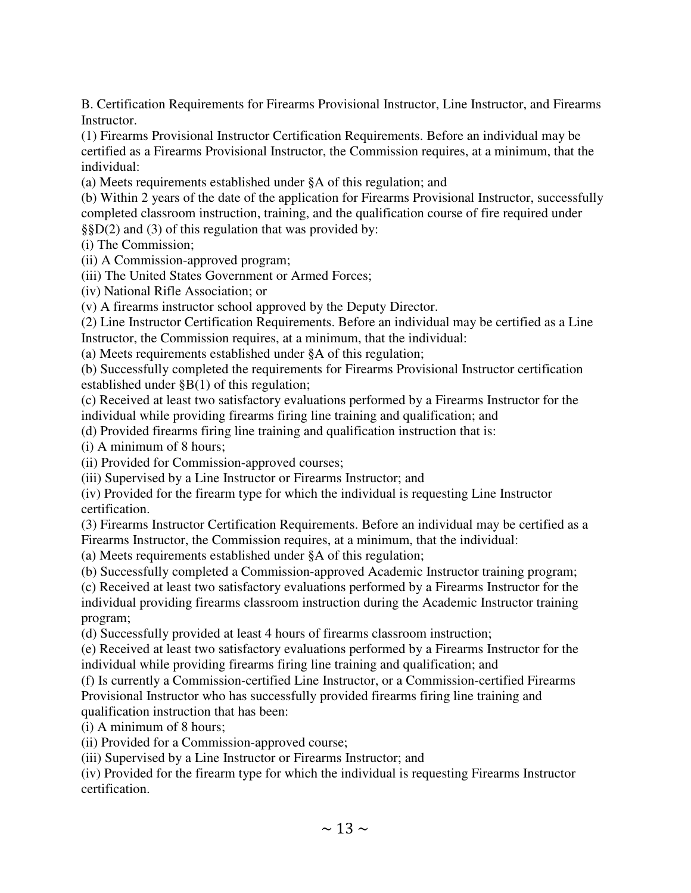B. Certification Requirements for Firearms Provisional Instructor, Line Instructor, and Firearms Instructor.

(1) Firearms Provisional Instructor Certification Requirements. Before an individual may be certified as a Firearms Provisional Instructor, the Commission requires, at a minimum, that the individual:

(a) Meets requirements established under §A of this regulation; and

(b) Within 2 years of the date of the application for Firearms Provisional Instructor, successfully completed classroom instruction, training, and the qualification course of fire required under §§D(2) and (3) of this regulation that was provided by:

(i) The Commission;

(ii) A Commission-approved program;

(iii) The United States Government or Armed Forces;

(iv) National Rifle Association; or

(v) A firearms instructor school approved by the Deputy Director.

(2) Line Instructor Certification Requirements. Before an individual may be certified as a Line Instructor, the Commission requires, at a minimum, that the individual:

(a) Meets requirements established under §A of this regulation;

(b) Successfully completed the requirements for Firearms Provisional Instructor certification established under §B(1) of this regulation;

(c) Received at least two satisfactory evaluations performed by a Firearms Instructor for the individual while providing firearms firing line training and qualification; and

(d) Provided firearms firing line training and qualification instruction that is:

(i) A minimum of 8 hours;

(ii) Provided for Commission-approved courses;

(iii) Supervised by a Line Instructor or Firearms Instructor; and

(iv) Provided for the firearm type for which the individual is requesting Line Instructor certification.

(3) Firearms Instructor Certification Requirements. Before an individual may be certified as a Firearms Instructor, the Commission requires, at a minimum, that the individual:

(a) Meets requirements established under §A of this regulation;

(b) Successfully completed a Commission-approved Academic Instructor training program;

(c) Received at least two satisfactory evaluations performed by a Firearms Instructor for the individual providing firearms classroom instruction during the Academic Instructor training program;

(d) Successfully provided at least 4 hours of firearms classroom instruction;

(e) Received at least two satisfactory evaluations performed by a Firearms Instructor for the individual while providing firearms firing line training and qualification; and

(f) Is currently a Commission-certified Line Instructor, or a Commission-certified Firearms Provisional Instructor who has successfully provided firearms firing line training and qualification instruction that has been:

(i) A minimum of 8 hours;

(ii) Provided for a Commission-approved course;

(iii) Supervised by a Line Instructor or Firearms Instructor; and

(iv) Provided for the firearm type for which the individual is requesting Firearms Instructor certification.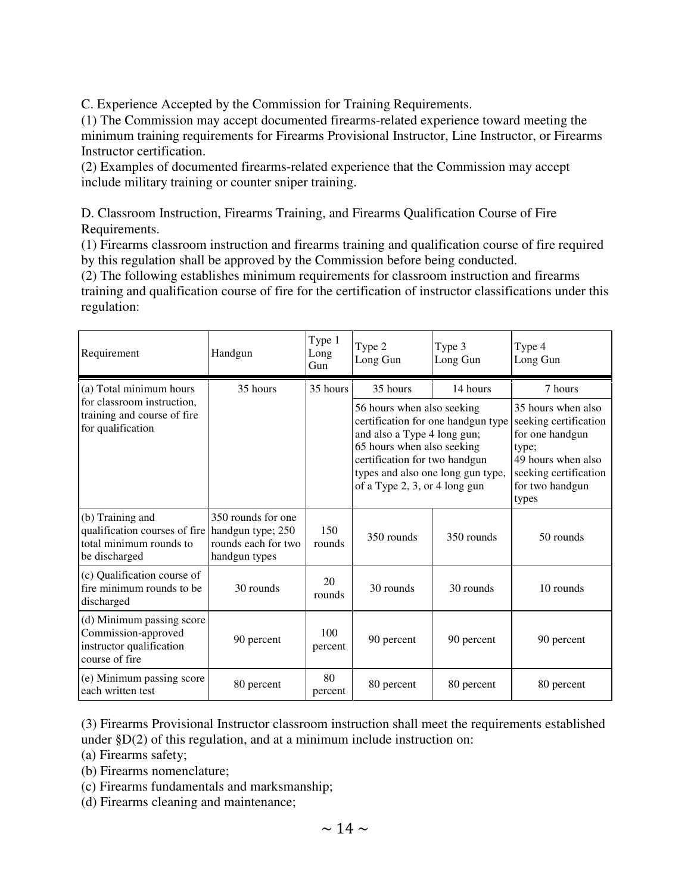C. Experience Accepted by the Commission for Training Requirements.

(1) The Commission may accept documented firearms-related experience toward meeting the minimum training requirements for Firearms Provisional Instructor, Line Instructor, or Firearms Instructor certification.

(2) Examples of documented firearms-related experience that the Commission may accept include military training or counter sniper training.

D. Classroom Instruction, Firearms Training, and Firearms Qualification Course of Fire Requirements.

(1) Firearms classroom instruction and firearms training and qualification course of fire required by this regulation shall be approved by the Commission before being conducted.

(2) The following establishes minimum requirements for classroom instruction and firearms training and qualification course of fire for the certification of instructor classifications under this regulation:

| Requirement                                                                                               | Handgun                                                                         | Type 1<br>Long<br>Gun | Type 2<br>Long Gun                                                                                                                                                                                                                                           | Type 3<br>Long Gun | Type 4<br>Long Gun                                                                                                                                            |
|-----------------------------------------------------------------------------------------------------------|---------------------------------------------------------------------------------|-----------------------|--------------------------------------------------------------------------------------------------------------------------------------------------------------------------------------------------------------------------------------------------------------|--------------------|---------------------------------------------------------------------------------------------------------------------------------------------------------------|
| (a) Total minimum hours<br>for classroom instruction,<br>training and course of fire<br>for qualification | 35 hours                                                                        | 35 hours              | 35 hours<br>14 hours<br>56 hours when also seeking<br>certification for one handgun type<br>and also a Type 4 long gun;<br>65 hours when also seeking<br>certification for two handgun<br>types and also one long gun type,<br>of a Type 2, 3, or 4 long gun |                    | 7 hours<br>35 hours when also<br>seeking certification<br>for one handgun<br>type;<br>49 hours when also<br>seeking certification<br>for two handgun<br>types |
| (b) Training and<br>qualification courses of fire<br>total minimum rounds to<br>be discharged             | 350 rounds for one<br>handgun type; 250<br>rounds each for two<br>handgun types | 150<br>rounds         | 350 rounds                                                                                                                                                                                                                                                   | 350 rounds         | 50 rounds                                                                                                                                                     |
| (c) Qualification course of<br>fire minimum rounds to be<br>discharged                                    | 30 rounds                                                                       | 20<br>rounds          | 30 rounds                                                                                                                                                                                                                                                    | 30 rounds          | 10 rounds                                                                                                                                                     |
| (d) Minimum passing score<br>Commission-approved<br>instructor qualification<br>course of fire            | 90 percent                                                                      | 100<br>percent        | 90 percent                                                                                                                                                                                                                                                   | 90 percent         | 90 percent                                                                                                                                                    |
| (e) Minimum passing score<br>each written test                                                            | 80 percent                                                                      | 80<br>percent         | 80 percent                                                                                                                                                                                                                                                   | 80 percent         | 80 percent                                                                                                                                                    |

(3) Firearms Provisional Instructor classroom instruction shall meet the requirements established under §D(2) of this regulation, and at a minimum include instruction on:

(a) Firearms safety;

(b) Firearms nomenclature;

(c) Firearms fundamentals and marksmanship;

(d) Firearms cleaning and maintenance;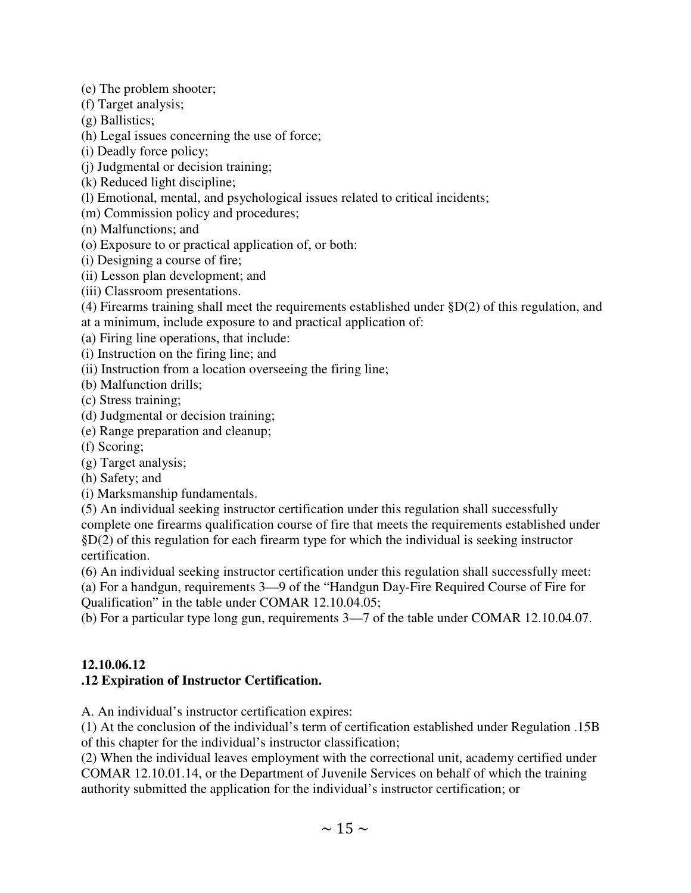(e) The problem shooter;

- (f) Target analysis;
- (g) Ballistics;
- (h) Legal issues concerning the use of force;
- (i) Deadly force policy;
- (j) Judgmental or decision training;
- (k) Reduced light discipline;
- (l) Emotional, mental, and psychological issues related to critical incidents;
- (m) Commission policy and procedures;
- (n) Malfunctions; and
- (o) Exposure to or practical application of, or both:
- (i) Designing a course of fire;
- (ii) Lesson plan development; and
- (iii) Classroom presentations.
- (4) Firearms training shall meet the requirements established under §D(2) of this regulation, and at a minimum, include exposure to and practical application of:
- (a) Firing line operations, that include:
- (i) Instruction on the firing line; and
- (ii) Instruction from a location overseeing the firing line;
- (b) Malfunction drills;
- (c) Stress training;
- (d) Judgmental or decision training;
- (e) Range preparation and cleanup;
- (f) Scoring;
- (g) Target analysis;
- (h) Safety; and
- (i) Marksmanship fundamentals.
- (5) An individual seeking instructor certification under this regulation shall successfully complete one firearms qualification course of fire that meets the requirements established under §D(2) of this regulation for each firearm type for which the individual is seeking instructor certification.
- (6) An individual seeking instructor certification under this regulation shall successfully meet:
- (a) For a handgun, requirements 3—9 of the "Handgun Day-Fire Required Course of Fire for Qualification" in the table under COMAR 12.10.04.05;
- (b) For a particular type long gun, requirements 3—7 of the table under COMAR 12.10.04.07.

## **12.10.06.12 .12 Expiration of Instructor Certification.**

A. An individual's instructor certification expires:

(1) At the conclusion of the individual's term of certification established under Regulation .15B of this chapter for the individual's instructor classification;

(2) When the individual leaves employment with the correctional unit, academy certified under COMAR 12.10.01.14, or the Department of Juvenile Services on behalf of which the training authority submitted the application for the individual's instructor certification; or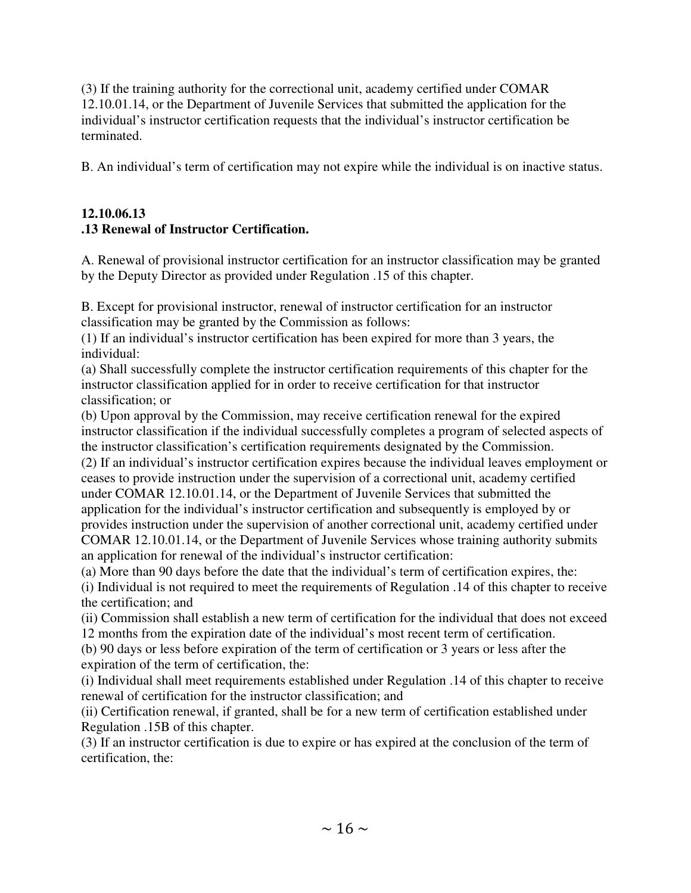(3) If the training authority for the correctional unit, academy certified under COMAR 12.10.01.14, or the Department of Juvenile Services that submitted the application for the individual's instructor certification requests that the individual's instructor certification be terminated.

B. An individual's term of certification may not expire while the individual is on inactive status.

## **12.10.06.13 .13 Renewal of Instructor Certification.**

A. Renewal of provisional instructor certification for an instructor classification may be granted by the Deputy Director as provided under Regulation .15 of this chapter.

B. Except for provisional instructor, renewal of instructor certification for an instructor classification may be granted by the Commission as follows:

(1) If an individual's instructor certification has been expired for more than 3 years, the individual:

(a) Shall successfully complete the instructor certification requirements of this chapter for the instructor classification applied for in order to receive certification for that instructor classification; or

(b) Upon approval by the Commission, may receive certification renewal for the expired instructor classification if the individual successfully completes a program of selected aspects of the instructor classification's certification requirements designated by the Commission.

(2) If an individual's instructor certification expires because the individual leaves employment or ceases to provide instruction under the supervision of a correctional unit, academy certified under COMAR 12.10.01.14, or the Department of Juvenile Services that submitted the application for the individual's instructor certification and subsequently is employed by or provides instruction under the supervision of another correctional unit, academy certified under COMAR 12.10.01.14, or the Department of Juvenile Services whose training authority submits an application for renewal of the individual's instructor certification:

(a) More than 90 days before the date that the individual's term of certification expires, the:

(i) Individual is not required to meet the requirements of Regulation .14 of this chapter to receive the certification; and

(ii) Commission shall establish a new term of certification for the individual that does not exceed 12 months from the expiration date of the individual's most recent term of certification.

(b) 90 days or less before expiration of the term of certification or 3 years or less after the expiration of the term of certification, the:

(i) Individual shall meet requirements established under Regulation .14 of this chapter to receive renewal of certification for the instructor classification; and

(ii) Certification renewal, if granted, shall be for a new term of certification established under Regulation .15B of this chapter.

(3) If an instructor certification is due to expire or has expired at the conclusion of the term of certification, the: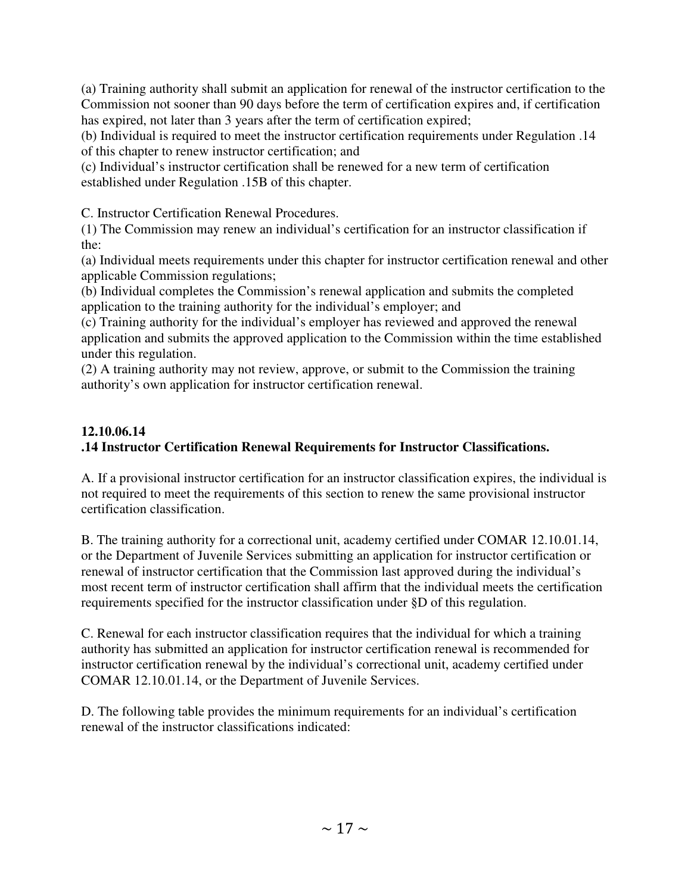(a) Training authority shall submit an application for renewal of the instructor certification to the Commission not sooner than 90 days before the term of certification expires and, if certification has expired, not later than 3 years after the term of certification expired;

(b) Individual is required to meet the instructor certification requirements under Regulation .14 of this chapter to renew instructor certification; and

(c) Individual's instructor certification shall be renewed for a new term of certification established under Regulation .15B of this chapter.

C. Instructor Certification Renewal Procedures.

(1) The Commission may renew an individual's certification for an instructor classification if the:

(a) Individual meets requirements under this chapter for instructor certification renewal and other applicable Commission regulations;

(b) Individual completes the Commission's renewal application and submits the completed application to the training authority for the individual's employer; and

(c) Training authority for the individual's employer has reviewed and approved the renewal application and submits the approved application to the Commission within the time established under this regulation.

(2) A training authority may not review, approve, or submit to the Commission the training authority's own application for instructor certification renewal.

# **12.10.06.14**

# **.14 Instructor Certification Renewal Requirements for Instructor Classifications.**

A. If a provisional instructor certification for an instructor classification expires, the individual is not required to meet the requirements of this section to renew the same provisional instructor certification classification.

B. The training authority for a correctional unit, academy certified under COMAR 12.10.01.14, or the Department of Juvenile Services submitting an application for instructor certification or renewal of instructor certification that the Commission last approved during the individual's most recent term of instructor certification shall affirm that the individual meets the certification requirements specified for the instructor classification under §D of this regulation.

C. Renewal for each instructor classification requires that the individual for which a training authority has submitted an application for instructor certification renewal is recommended for instructor certification renewal by the individual's correctional unit, academy certified under COMAR 12.10.01.14, or the Department of Juvenile Services.

D. The following table provides the minimum requirements for an individual's certification renewal of the instructor classifications indicated: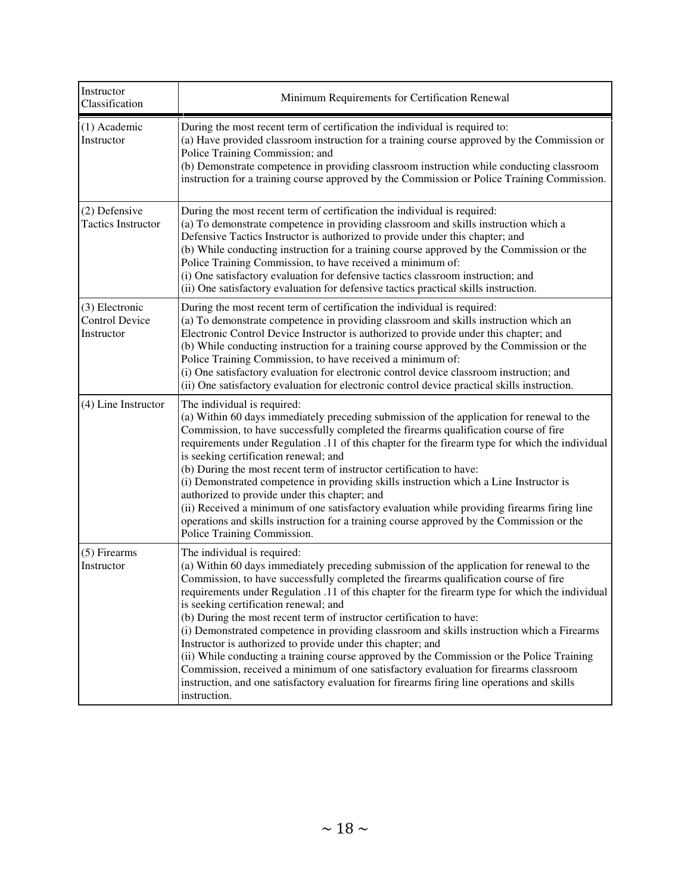| Instructor<br>Classification                          | Minimum Requirements for Certification Renewal                                                                                                                                                                                                                                                                                                                                                                                                                                                                                                                                                                                                                                                                                                                                                                                                                                                        |
|-------------------------------------------------------|-------------------------------------------------------------------------------------------------------------------------------------------------------------------------------------------------------------------------------------------------------------------------------------------------------------------------------------------------------------------------------------------------------------------------------------------------------------------------------------------------------------------------------------------------------------------------------------------------------------------------------------------------------------------------------------------------------------------------------------------------------------------------------------------------------------------------------------------------------------------------------------------------------|
| (1) Academic<br>Instructor                            | During the most recent term of certification the individual is required to:<br>(a) Have provided classroom instruction for a training course approved by the Commission or<br>Police Training Commission; and<br>(b) Demonstrate competence in providing classroom instruction while conducting classroom<br>instruction for a training course approved by the Commission or Police Training Commission.                                                                                                                                                                                                                                                                                                                                                                                                                                                                                              |
| (2) Defensive<br><b>Tactics Instructor</b>            | During the most recent term of certification the individual is required:<br>(a) To demonstrate competence in providing classroom and skills instruction which a<br>Defensive Tactics Instructor is authorized to provide under this chapter; and<br>(b) While conducting instruction for a training course approved by the Commission or the<br>Police Training Commission, to have received a minimum of:<br>(i) One satisfactory evaluation for defensive tactics classroom instruction; and<br>(ii) One satisfactory evaluation for defensive tactics practical skills instruction.                                                                                                                                                                                                                                                                                                                |
| (3) Electronic<br><b>Control Device</b><br>Instructor | During the most recent term of certification the individual is required:<br>(a) To demonstrate competence in providing classroom and skills instruction which an<br>Electronic Control Device Instructor is authorized to provide under this chapter; and<br>(b) While conducting instruction for a training course approved by the Commission or the<br>Police Training Commission, to have received a minimum of:<br>(i) One satisfactory evaluation for electronic control device classroom instruction; and<br>(ii) One satisfactory evaluation for electronic control device practical skills instruction.                                                                                                                                                                                                                                                                                       |
| (4) Line Instructor                                   | The individual is required:<br>(a) Within 60 days immediately preceding submission of the application for renewal to the<br>Commission, to have successfully completed the firearms qualification course of fire<br>requirements under Regulation .11 of this chapter for the firearm type for which the individual<br>is seeking certification renewal; and<br>(b) During the most recent term of instructor certification to have:<br>(i) Demonstrated competence in providing skills instruction which a Line Instructor is<br>authorized to provide under this chapter; and<br>(ii) Received a minimum of one satisfactory evaluation while providing firearms firing line<br>operations and skills instruction for a training course approved by the Commission or the<br>Police Training Commission.                                                                                            |
| (5) Firearms<br>Instructor                            | The individual is required:<br>(a) Within 60 days immediately preceding submission of the application for renewal to the<br>Commission, to have successfully completed the firearms qualification course of fire<br>requirements under Regulation .11 of this chapter for the firearm type for which the individual<br>is seeking certification renewal; and<br>(b) During the most recent term of instructor certification to have:<br>(i) Demonstrated competence in providing classroom and skills instruction which a Firearms<br>Instructor is authorized to provide under this chapter; and<br>(ii) While conducting a training course approved by the Commission or the Police Training<br>Commission, received a minimum of one satisfactory evaluation for firearms classroom<br>instruction, and one satisfactory evaluation for firearms firing line operations and skills<br>instruction. |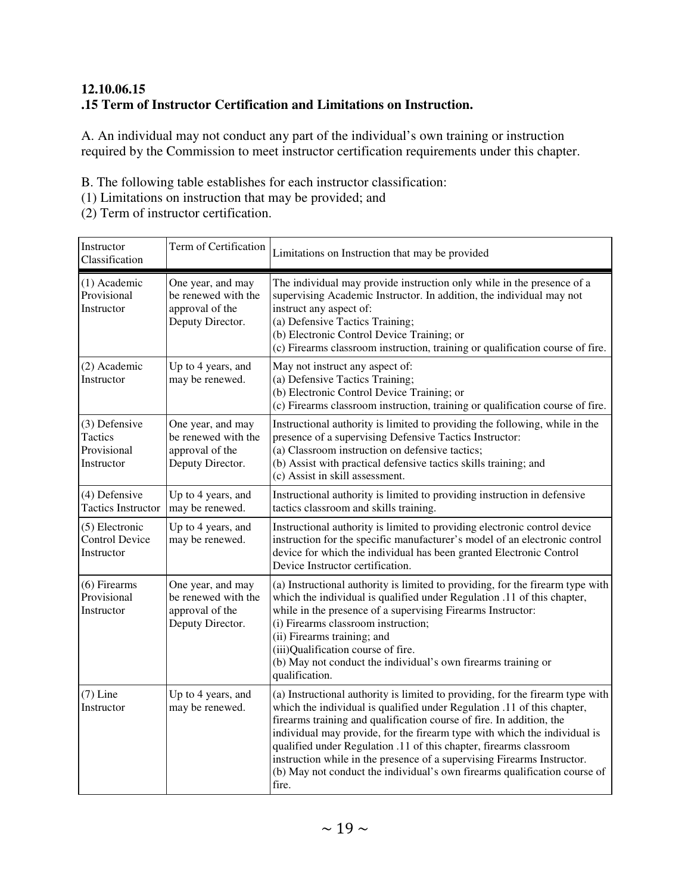# **12.10.06.15 .15 Term of Instructor Certification and Limitations on Instruction.**

A. An individual may not conduct any part of the individual's own training or instruction required by the Commission to meet instructor certification requirements under this chapter.

B. The following table establishes for each instructor classification:

(1) Limitations on instruction that may be provided; and

(2) Term of instructor certification.

| Instructor<br>Classification                            | Term of Certification                                                           | Limitations on Instruction that may be provided                                                                                                                                                                                                                                                                                                                                                                                                                                                                                                       |
|---------------------------------------------------------|---------------------------------------------------------------------------------|-------------------------------------------------------------------------------------------------------------------------------------------------------------------------------------------------------------------------------------------------------------------------------------------------------------------------------------------------------------------------------------------------------------------------------------------------------------------------------------------------------------------------------------------------------|
| (1) Academic<br>Provisional<br>Instructor               | One year, and may<br>be renewed with the<br>approval of the<br>Deputy Director. | The individual may provide instruction only while in the presence of a<br>supervising Academic Instructor. In addition, the individual may not<br>instruct any aspect of:<br>(a) Defensive Tactics Training;<br>(b) Electronic Control Device Training; or<br>(c) Firearms classroom instruction, training or qualification course of fire.                                                                                                                                                                                                           |
| (2) Academic<br>Instructor                              | Up to 4 years, and<br>may be renewed.                                           | May not instruct any aspect of:<br>(a) Defensive Tactics Training;<br>(b) Electronic Control Device Training; or<br>(c) Firearms classroom instruction, training or qualification course of fire.                                                                                                                                                                                                                                                                                                                                                     |
| (3) Defensive<br>Tactics<br>Provisional<br>Instructor   | One year, and may<br>be renewed with the<br>approval of the<br>Deputy Director. | Instructional authority is limited to providing the following, while in the<br>presence of a supervising Defensive Tactics Instructor:<br>(a) Classroom instruction on defensive tactics;<br>(b) Assist with practical defensive tactics skills training; and<br>(c) Assist in skill assessment.                                                                                                                                                                                                                                                      |
| (4) Defensive<br><b>Tactics Instructor</b>              | Up to 4 years, and<br>may be renewed.                                           | Instructional authority is limited to providing instruction in defensive<br>tactics classroom and skills training.                                                                                                                                                                                                                                                                                                                                                                                                                                    |
| $(5)$ Electronic<br><b>Control Device</b><br>Instructor | Up to 4 years, and<br>may be renewed.                                           | Instructional authority is limited to providing electronic control device<br>instruction for the specific manufacturer's model of an electronic control<br>device for which the individual has been granted Electronic Control<br>Device Instructor certification.                                                                                                                                                                                                                                                                                    |
| $(6)$ Firearms<br>Provisional<br>Instructor             | One year, and may<br>be renewed with the<br>approval of the<br>Deputy Director. | (a) Instructional authority is limited to providing, for the firearm type with<br>which the individual is qualified under Regulation .11 of this chapter,<br>while in the presence of a supervising Firearms Instructor:<br>(i) Firearms classroom instruction;<br>(ii) Firearms training; and<br>(iii)Qualification course of fire.<br>(b) May not conduct the individual's own firearms training or<br>qualification.                                                                                                                               |
| $(7)$ Line<br>Instructor                                | Up to 4 years, and<br>may be renewed.                                           | (a) Instructional authority is limited to providing, for the firearm type with<br>which the individual is qualified under Regulation .11 of this chapter,<br>firearms training and qualification course of fire. In addition, the<br>individual may provide, for the firearm type with which the individual is<br>qualified under Regulation .11 of this chapter, firearms classroom<br>instruction while in the presence of a supervising Firearms Instructor.<br>(b) May not conduct the individual's own firearms qualification course of<br>fire. |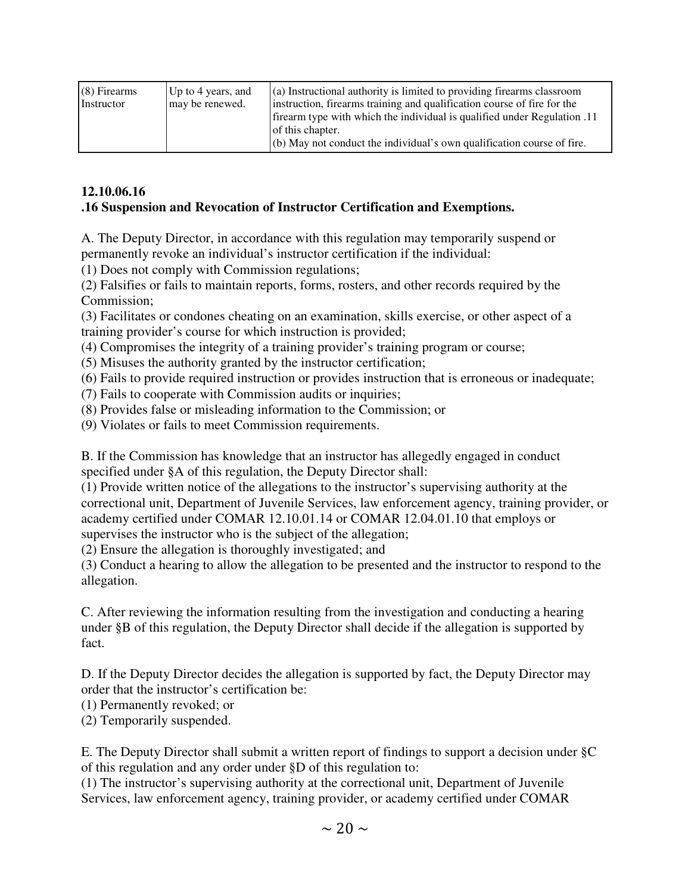| $(8)$ Firearms<br>Instructor | Up to 4 years, and<br>may be renewed. | $\alpha$ ) Instructional authority is limited to providing firearms classroom<br>instruction, firearms training and qualification course of fire for the<br>11. If infinity lifest type with which the individual is qualified under Regulation 11<br>of this chapter. |
|------------------------------|---------------------------------------|------------------------------------------------------------------------------------------------------------------------------------------------------------------------------------------------------------------------------------------------------------------------|
|                              |                                       | $(6)$ May not conduct the individual's own qualification course of fire.                                                                                                                                                                                               |

## **12.10.06.16**

#### **.16 Suspension and Revocation of Instructor Certification and Exemptions.**

A. The Deputy Director, in accordance with this regulation may temporarily suspend or permanently revoke an individual's instructor certification if the individual:

(1) Does not comply with Commission regulations;

(2) Falsifies or fails to maintain reports, forms, rosters, and other records required by the Commission;

(3) Facilitates or condones cheating on an examination, skills exercise, or other aspect of a training provider's course for which instruction is provided;

(4) Compromises the integrity of a training provider's training program or course;

(5) Misuses the authority granted by the instructor certification;

(6) Fails to provide required instruction or provides instruction that is erroneous or inadequate;

(7) Fails to cooperate with Commission audits or inquiries;

(8) Provides false or misleading information to the Commission; or

(9) Violates or fails to meet Commission requirements.

B. If the Commission has knowledge that an instructor has allegedly engaged in conduct specified under §A of this regulation, the Deputy Director shall:

(1) Provide written notice of the allegations to the instructor's supervising authority at the correctional unit, Department of Juvenile Services, law enforcement agency, training provider, or academy certified under COMAR 12.10.01.14 or COMAR 12.04.01.10 that employs or supervises the instructor who is the subject of the allegation;

(2) Ensure the allegation is thoroughly investigated; and

(3) Conduct a hearing to allow the allegation to be presented and the instructor to respond to the allegation.

C. After reviewing the information resulting from the investigation and conducting a hearing under §B of this regulation, the Deputy Director shall decide if the allegation is supported by fact.

D. If the Deputy Director decides the allegation is supported by fact, the Deputy Director may order that the instructor's certification be:

(1) Permanently revoked; or

(2) Temporarily suspended.

E. The Deputy Director shall submit a written report of findings to support a decision under §C of this regulation and any order under §D of this regulation to:

(1) The instructor's supervising authority at the correctional unit, Department of Juvenile Services, law enforcement agency, training provider, or academy certified under COMAR